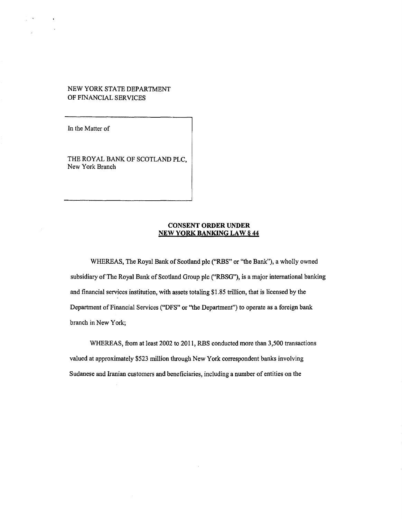# NEW YORK STATE DEPARTMENT OF FINANCIAL SERVICES

In the Matter of

THE ROYAL BANK OF SCOTLAND PLC, New York Branch

## **CONSENT ORDER UNDER NEW YORK BANKING LAW§ 44**

WHEREAS, The Royal Bank of Scotland plc ("RBS" or "the Bank"), a wholly owned subsidiary of The Royal Bank of Scotland Group plc ("RBSG"), is a major international banking and financial services institution, with assets totaling \$1.85 trillion, that is licensed by the Department of Financial Services ("DFS" or "the Department") to operate as a foreign bank branch in New York;

WHEREAS, from at least 2002 to 2011, RBS conducted more than 3,500 transactions valued at approximately \$523 million through New York correspondent banks involving Sudanese and Iranian customers and beneficiaries, including a number of entities on the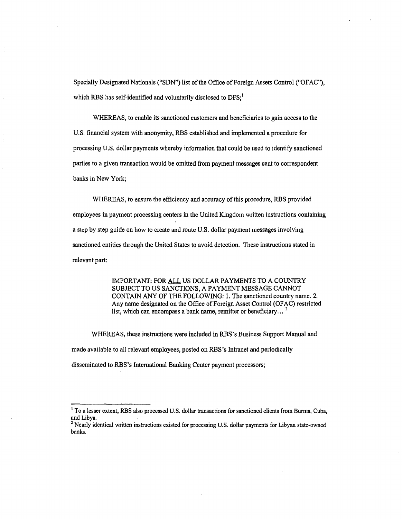Specially Designated Nationals ("SDN") list of the Office of Foreign Assets Control ("OFAC"), which RBS has self-identified and voluntarily disclosed to  $DFS<sub>i</sub><sup>1</sup>$ 

WHEREAS, to enable its sanctioned customers and beneficiaries to gain access to the U.S. financial system with anonymity, RBS established and implemented a procedure for processing U.S. dollar payments whereby information that could be used to identify sanctioned parties to a given transaction would be omitted from payment messages sent to correspondent banks in New York;

WHEREAS, to ensure the efficiency and accuracy of this procedure, RBS provided employees in payment processing centers in the United Kingdom written instructions containing a step by step guide on how to create and route U.S. dollar payment messages involving sanctioned entities through the United States to avoid detection. These instructions stated in relevant part:

> IMPORTANT: FOR ALL US DOLLAR PAYMENTS TO A COUNTRY SUBJECT TO US SANCTIONS, A PAYMENT MESSAGE CANNOT CONTAIN ANY OF THE FOLLOWING: 1. The sanctioned country name. 2. Any name designated on the Office of Foreign Asset Control (OFAC) restricted list, which can encompass a bank name, remitter or beneficiary...<sup>2</sup>

WHEREAS, these instructions were included in RBS's Business Support Manual and made available to all relevant employees, posted on RBS 's Intranet and periodically disseminated to RBS's International Banking Center payment processors;

<sup>&</sup>lt;sup>1</sup> To a lesser extent, RBS also processed U.S. dollar transactions for sanctioned clients from Burma, Cuba, and Libya.

2 Nearly identical written instructions existed for processing U.S. dollar payments for Libyan state-owned banks.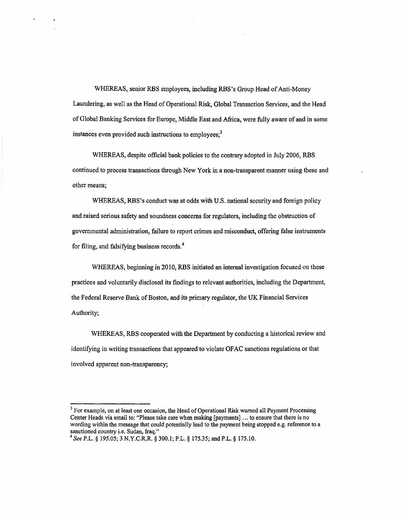WHEREAS, senior RBS employees, including RBS's Group Head of Anti-Money Laundering, as well as the Head of Operational Risk, Global Transaction Services, and the Head of Global Banking Services for Europe, Middle East and Africa, were fully aware of and in some instances even provided such instructions to employees;<sup>3</sup>

WHEREAS, despite official bank policies to the contrary adopted in July 2006, RBS continued to process transactions through New York in a non-transparent manner using these and other means;

WHEREAS, RBS's conduct was at odds with U.S. national security and foreign policy and raised serious safety and soundness concerns for regulators, including the obstruction of governmental administration, failure to report crimes and misconduct, offering false instruments for filing, and falsifying business records. 4

WHEREAS, beginning in 2010, RBS initiated an internal investigation focused on these practices and voluntarily disclosed its fmdings to relevant authorities, including the Department, the Federal Reserve Bank of Boston, and its primary regulator, the UK Financial Services Authority;

WHEREAS, RBS cooperated with the Department by conducting a historical review and identifying in writing transactions that appeared to violate OFAC sanctions regulations or that involved apparent non-transparency;

<sup>&</sup>lt;sup>3</sup> For example, on at least one occasion, the Head of Operational Risk warned all Payment Processing Center Heads via email to: "Please take care when making [payments] ... to ensure that there is no wording within the message that could potentially lead to the payment being stopped e.g. reference to a sanctioned country i.e. Sudan, Iraq."

<sup>&</sup>lt;sup>4</sup> See P.L. § 195.05; 3 N.Y.C.R.R. § 300.1; P.L. § 175.35; and P.L. § 175.10.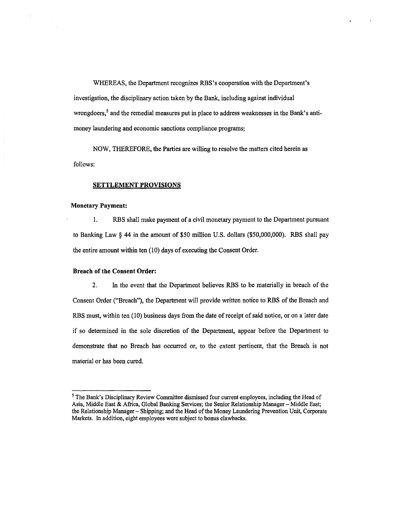WHEREAS, the Department recognizes RBS's cooperation with the Department's investigation, the disciplinary action taken by the Bank, including against individual wrongdoers,<sup>5</sup> and the remedial measures put in place to address weaknesses in the Bank's antimoney laundering and economic sanctions compliance programs;

NOW, THEREFORE, the Parties are willing to resolve the matters cited herein as follows:

## **SETTLEMENT PROVISIONS**

### **Monetary Payment:**

÷.

I. RBS shall make payment of a civil monetary payment to the Department pursuant to Banking Law § 44 in the amount of \$50 million U.S. dollars (\$50,000,000). RBS shall pay the entire amount within ten (10) days of executing the Consent Order.

#### **Breach of the Consent Order:**

2. In the event that the Department believes RBS to be materially in breach of the Consent Order ("Breach"), the Department will provide written notice to RBS of the Breach and RBS must, within ten (10) business days from the date of receipt of said notice, or on a later date if so determined in the sole discretion of the Department, appear before the Department to demonstrate that no Breach has occurred or, to the extent pertinent, that the Breach is not material or has been cured.

<sup>&</sup>lt;sup>5</sup> The Bank's Disciplinary Review Committee dismissed four current employees, including the Head of Asia, Middle East & Africa, Global Banking Services; the Senior Relationship Manager- Middle East; the Relationship Manager - Shipping; and the Head of the Money Laundering Prevention Unit, Corporate Markets. In addition, eight employees were subject to bonus clawbacks.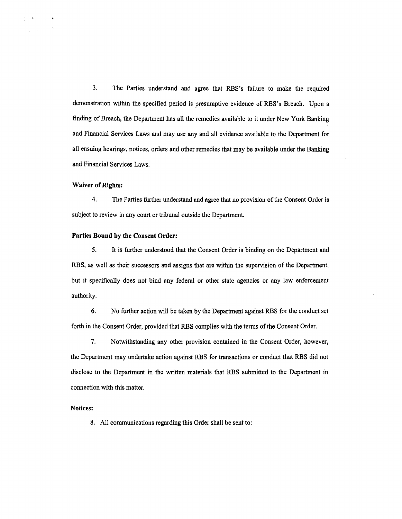3. The Parties understand and agree that RBS's failure to make the required demonstration within the specified period is presumptive evidence of RBS's Breach. Upon a finding of Breach, the Department has all the remedies available to it under New York Banking and Financial Services Laws and may use any and all evidence available to the Department for all ensuing hearings, notices, orders and other remedies that may be available under the Banking and Financial Services Laws.

## Waiver of Rights:

4. The Parties further understand and agree that no provision of the Consent Order is subject to review in any court or tribunal outside the Department.

## Parties Bound by the Consent Order:

5. It is further understood that the Consent Order is binding on the Department and RBS, as well as their successors and assigns that are within the supervision of the Department, but it specifically does not bind any federal or other state agencies or any law enforcement authority.

6. No further action will be taken by the Department against RBS for the conduct set forth in the Consent Order, provided that RBS complies with the terms of the Consent Order.

7. Notwithstanding any other provision contained in the Consent Order, however, the Department may undertake action against RBS for transactions or conduct that RBS did not disclose to the Department in the written materials that RBS submitted to the Department in connection with this matter.

#### Notices:

8. All communications regarding this Order shall be sent to: